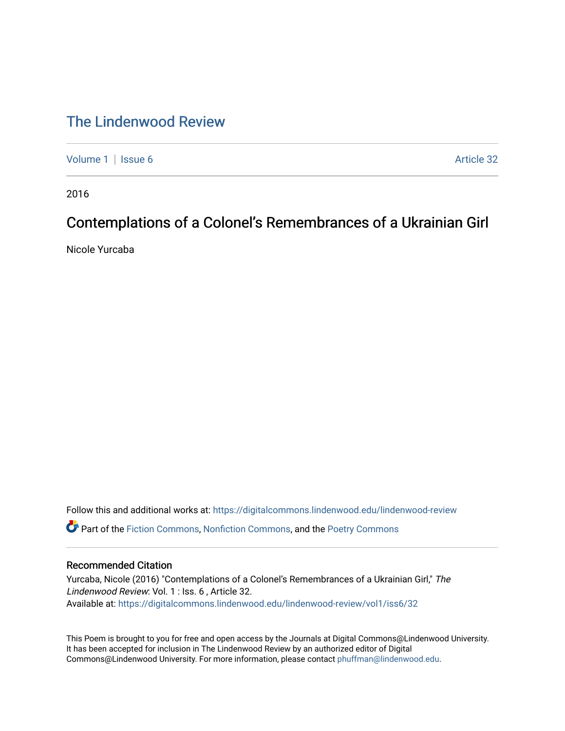## [The Lindenwood Review](https://digitalcommons.lindenwood.edu/lindenwood-review)

[Volume 1](https://digitalcommons.lindenwood.edu/lindenwood-review/vol1) | [Issue 6](https://digitalcommons.lindenwood.edu/lindenwood-review/vol1/iss6) Article 32

2016

## Contemplations of a Colonel's Remembrances of a Ukrainian Girl

Nicole Yurcaba

Follow this and additional works at: [https://digitalcommons.lindenwood.edu/lindenwood-review](https://digitalcommons.lindenwood.edu/lindenwood-review?utm_source=digitalcommons.lindenwood.edu%2Flindenwood-review%2Fvol1%2Fiss6%2F32&utm_medium=PDF&utm_campaign=PDFCoverPages) Part of the [Fiction Commons,](http://network.bepress.com/hgg/discipline/1151?utm_source=digitalcommons.lindenwood.edu%2Flindenwood-review%2Fvol1%2Fiss6%2F32&utm_medium=PDF&utm_campaign=PDFCoverPages) [Nonfiction Commons](http://network.bepress.com/hgg/discipline/1152?utm_source=digitalcommons.lindenwood.edu%2Flindenwood-review%2Fvol1%2Fiss6%2F32&utm_medium=PDF&utm_campaign=PDFCoverPages), and the [Poetry Commons](http://network.bepress.com/hgg/discipline/1153?utm_source=digitalcommons.lindenwood.edu%2Flindenwood-review%2Fvol1%2Fiss6%2F32&utm_medium=PDF&utm_campaign=PDFCoverPages)

## Recommended Citation

Yurcaba, Nicole (2016) "Contemplations of a Colonel's Remembrances of a Ukrainian Girl," The Lindenwood Review: Vol. 1 : Iss. 6 , Article 32. Available at: [https://digitalcommons.lindenwood.edu/lindenwood-review/vol1/iss6/32](https://digitalcommons.lindenwood.edu/lindenwood-review/vol1/iss6/32?utm_source=digitalcommons.lindenwood.edu%2Flindenwood-review%2Fvol1%2Fiss6%2F32&utm_medium=PDF&utm_campaign=PDFCoverPages)

This Poem is brought to you for free and open access by the Journals at Digital Commons@Lindenwood University. It has been accepted for inclusion in The Lindenwood Review by an authorized editor of Digital Commons@Lindenwood University. For more information, please contact [phuffman@lindenwood.edu](mailto:phuffman@lindenwood.edu).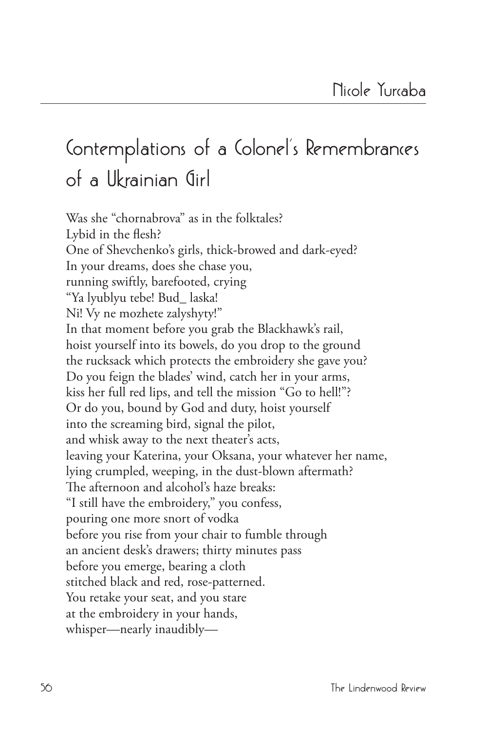## **Contemplations of a Colonel's Remembrances of a Ukrainian Girl**

Was she "chornabrova" as in the folktales? Lybid in the flesh? One of Shevchenko's girls, thick-browed and dark-eyed? In your dreams, does she chase you, running swiftly, barefooted, crying "Ya lyublyu tebe! Bud\_ laska! Ni! Vy ne mozhete zalyshyty!" In that moment before you grab the Blackhawk's rail, hoist yourself into its bowels, do you drop to the ground the rucksack which protects the embroidery she gave you? Do you feign the blades' wind, catch her in your arms, kiss her full red lips, and tell the mission "Go to hell!"? Or do you, bound by God and duty, hoist yourself into the screaming bird, signal the pilot, and whisk away to the next theater's acts, leaving your Katerina, your Oksana, your whatever her name, lying crumpled, weeping, in the dust-blown aftermath? The afternoon and alcohol's haze breaks: "I still have the embroidery," you confess, pouring one more snort of vodka before you rise from your chair to fumble through an ancient desk's drawers; thirty minutes pass before you emerge, bearing a cloth stitched black and red, rose-patterned. You retake your seat, and you stare at the embroidery in your hands, whisper—nearly inaudibly—